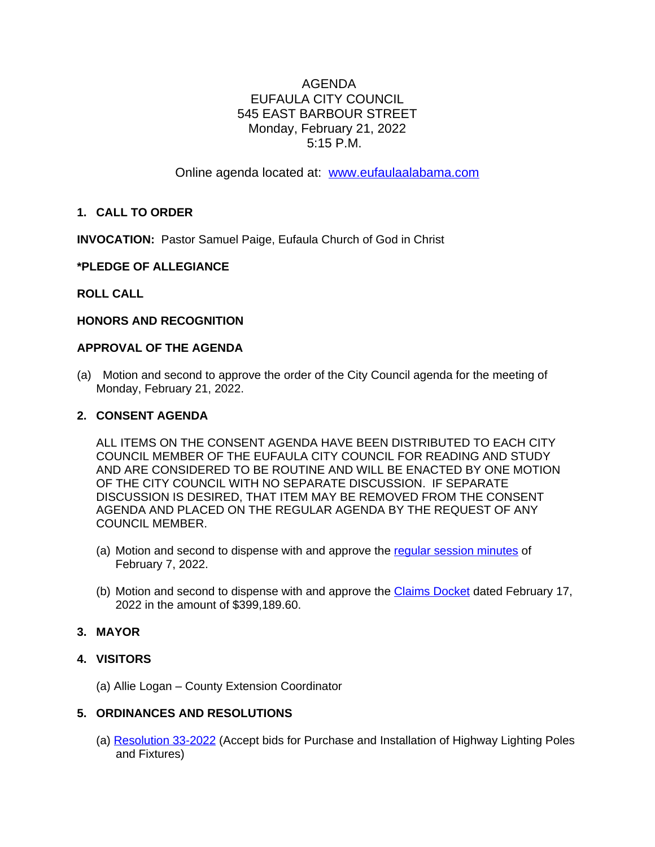# AGENDA EUFAULA CITY COUNCIL 545 EAST BARBOUR STREET Monday, February 21, 2022 5:15 P.M.

Online agenda located at: [www.eufaulaalabama.com](http://www.eufaulaalabama.com)

## **1. CALL TO ORDER**

**INVOCATION:** Pastor Samuel Paige, Eufaula Church of God in Christ

### **\*PLEDGE OF ALLEGIANCE**

### **ROLL CALL**

#### **HONORS AND RECOGNITION**

#### **APPROVAL OF THE AGENDA**

(a) Motion and second to approve the order of the City Council agenda for the meeting of Monday, February 21, 2022.

#### **2. CONSENT AGENDA**

ALL ITEMS ON THE CONSENT AGENDA HAVE BEEN DISTRIBUTED TO EACH CITY COUNCIL MEMBER OF THE EUFAULA CITY COUNCIL FOR READING AND STUDY AND ARE CONSIDERED TO BE ROUTINE AND WILL BE ENACTED BY ONE MOTION OF THE CITY COUNCIL WITH NO SEPARATE DISCUSSION. IF SEPARATE DISCUSSION IS DESIRED, THAT ITEM MAY BE REMOVED FROM THE CONSENT AGENDA AND PLACED ON THE REGULAR AGENDA BY THE REQUEST OF ANY COUNCIL MEMBER.

- (a) Motion and second to dispense with and approve the [regular session minutes of](https://www.eufaulaalabama.com/DocumentCenter/View/1481/Minutes---Regular-Session-02072022)  [February 7, 2022.](https://www.eufaulaalabama.com/DocumentCenter/View/1481/Minutes---Regular-Session-02072022)
- (b) [Motion and second to dispense with and approve the](https://www.eufaulaalabama.com/DocumentCenter/View/1481/Minutes---Regular-Session-02072022) [Claims Docket](https://www.eufaulaalabama.com/DocumentCenter/View/1484/Claims-Docket---February-17-2022) dated February 17, 2022 in the amount of \$399,189.60.

## **3. MAYOR**

#### **4. VISITORS**

(a) Allie Logan – County Extension Coordinator

# **5. ORDINANCES AND RESOLUTIONS**

(a) [Resolution 33-2022](https://www.eufaulaalabama.com/DocumentCenter/View/1478/33-2022-Accept-bids-for-Purchase-and-Installation-of-Highway-Lighting-Poles-and-Fixtures) (Accept bids for Purchase and Installation of Highway Lighting Poles and Fixtures)